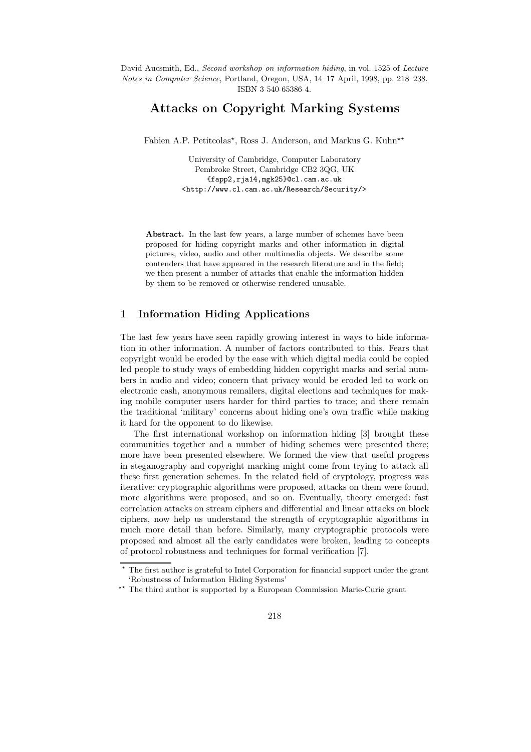David Aucsmith, Ed., Second workshop on information hiding, in vol. 1525 of Lecture Notes in Computer Science, Portland, Oregon, USA, 14–17 April, 1998, pp. 218–238. ISBN 3-540-65386-4.

# **Attacks on Copyright Marking Systems**

Fabien A.P. Petitcolas<sup>\*</sup>, Ross J. Anderson, and Markus G. Kuhn<sup>\*\*</sup>

University of Cambridge, Computer Laboratory Pembroke Street, Cambridge CB2 3QG, UK {fapp2,rja14,mgk25}@cl.cam.ac.uk <http://www.cl.cam.ac.uk/Research/Security/>

**Abstract.** In the last few years, a large number of schemes have been proposed for hiding copyright marks and other information in digital pictures, video, audio and other multimedia objects. We describe some contenders that have appeared in the research literature and in the field; we then present a number of attacks that enable the information hidden by them to be removed or otherwise rendered unusable.

# **1 Information Hiding Applications**

The last few years have seen rapidly growing interest in ways to hide information in other information. A number of factors contributed to this. Fears that copyright would be eroded by the ease with which digital media could be copied led people to study ways of embedding hidden copyright marks and serial numbers in audio and video; concern that privacy would be eroded led to work on electronic cash, anonymous remailers, digital elections and techniques for making mobile computer users harder for third parties to trace; and there remain the traditional 'military' concerns about hiding one's own traffic while making it hard for the opponent to do likewise.

The first international workshop on information hiding [3] brought these communities together and a number of hiding schemes were presented there; more have been presented elsewhere. We formed the view that useful progress in steganography and copyright marking might come from trying to attack all these first generation schemes. In the related field of cryptology, progress was iterative: cryptographic algorithms were proposed, attacks on them were found, more algorithms were proposed, and so on. Eventually, theory emerged: fast correlation attacks on stream ciphers and differential and linear attacks on block ciphers, now help us understand the strength of cryptographic algorithms in much more detail than before. Similarly, many cryptographic protocols were proposed and almost all the early candidates were broken, leading to concepts of protocol robustness and techniques for formal verification [7].

<sup>?</sup> The first author is grateful to Intel Corporation for financial support under the grant 'Robustness of Information Hiding Systems'

<sup>\*\*</sup> The third author is supported by a European Commission Marie-Curie grant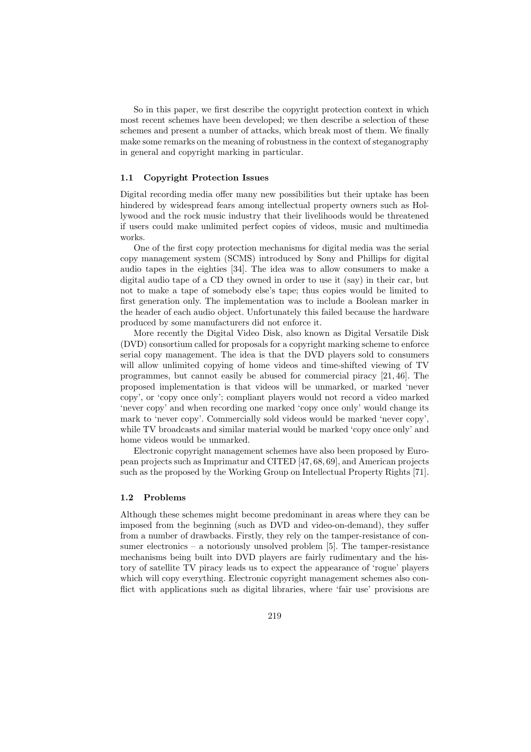So in this paper, we first describe the copyright protection context in which most recent schemes have been developed; we then describe a selection of these schemes and present a number of attacks, which break most of them. We finally make some remarks on the meaning of robustness in the context of steganography in general and copyright marking in particular.

#### **1.1 Copyright Protection Issues**

Digital recording media offer many new possibilities but their uptake has been hindered by widespread fears among intellectual property owners such as Hollywood and the rock music industry that their livelihoods would be threatened if users could make unlimited perfect copies of videos, music and multimedia works.

One of the first copy protection mechanisms for digital media was the serial copy management system (SCMS) introduced by Sony and Phillips for digital audio tapes in the eighties [34]. The idea was to allow consumers to make a digital audio tape of a CD they owned in order to use it (say) in their car, but not to make a tape of somebody else's tape; thus copies would be limited to first generation only. The implementation was to include a Boolean marker in the header of each audio object. Unfortunately this failed because the hardware produced by some manufacturers did not enforce it.

More recently the Digital Video Disk, also known as Digital Versatile Disk (DVD) consortium called for proposals for a copyright marking scheme to enforce serial copy management. The idea is that the DVD players sold to consumers will allow unlimited copying of home videos and time-shifted viewing of TV programmes, but cannot easily be abused for commercial piracy [21, 46]. The proposed implementation is that videos will be unmarked, or marked 'never copy', or 'copy once only'; compliant players would not record a video marked 'never copy' and when recording one marked 'copy once only' would change its mark to 'never copy'. Commercially sold videos would be marked 'never copy', while TV broadcasts and similar material would be marked 'copy once only' and home videos would be unmarked.

Electronic copyright management schemes have also been proposed by European projects such as Imprimatur and CITED [47, 68, 69], and American projects such as the proposed by the Working Group on Intellectual Property Rights [71].

#### **1.2 Problems**

Although these schemes might become predominant in areas where they can be imposed from the beginning (such as DVD and video-on-demand), they suffer from a number of drawbacks. Firstly, they rely on the tamper-resistance of consumer electronics – a notoriously unsolved problem [5]. The tamper-resistance mechanisms being built into DVD players are fairly rudimentary and the history of satellite TV piracy leads us to expect the appearance of 'rogue' players which will copy everything. Electronic copyright management schemes also conflict with applications such as digital libraries, where 'fair use' provisions are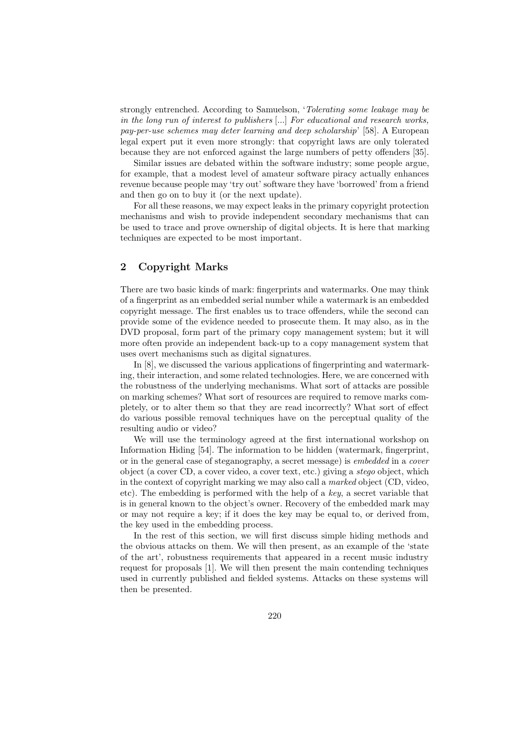strongly entrenched. According to Samuelson, 'Tolerating some leakage may be in the long run of interest to publishers [...] For educational and research works, pay-per-use schemes may deter learning and deep scholarship' [58]. A European legal expert put it even more strongly: that copyright laws are only tolerated because they are not enforced against the large numbers of petty offenders [35].

Similar issues are debated within the software industry; some people argue, for example, that a modest level of amateur software piracy actually enhances revenue because people may 'try out' software they have 'borrowed' from a friend and then go on to buy it (or the next update).

For all these reasons, we may expect leaks in the primary copyright protection mechanisms and wish to provide independent secondary mechanisms that can be used to trace and prove ownership of digital objects. It is here that marking techniques are expected to be most important.

# **2 Copyright Marks**

There are two basic kinds of mark: fingerprints and watermarks. One may think of a fingerprint as an embedded serial number while a watermark is an embedded copyright message. The first enables us to trace offenders, while the second can provide some of the evidence needed to prosecute them. It may also, as in the DVD proposal, form part of the primary copy management system; but it will more often provide an independent back-up to a copy management system that uses overt mechanisms such as digital signatures.

In [8], we discussed the various applications of fingerprinting and watermarking, their interaction, and some related technologies. Here, we are concerned with the robustness of the underlying mechanisms. What sort of attacks are possible on marking schemes? What sort of resources are required to remove marks completely, or to alter them so that they are read incorrectly? What sort of effect do various possible removal techniques have on the perceptual quality of the resulting audio or video?

We will use the terminology agreed at the first international workshop on Information Hiding [54]. The information to be hidden (watermark, fingerprint, or in the general case of steganography, a secret message) is embedded in a cover object (a cover CD, a cover video, a cover text, etc.) giving a stego object, which in the context of copyright marking we may also call a marked object (CD, video, etc). The embedding is performed with the help of a key, a secret variable that is in general known to the object's owner. Recovery of the embedded mark may or may not require a key; if it does the key may be equal to, or derived from, the key used in the embedding process.

In the rest of this section, we will first discuss simple hiding methods and the obvious attacks on them. We will then present, as an example of the 'state of the art', robustness requirements that appeared in a recent music industry request for proposals [1]. We will then present the main contending techniques used in currently published and fielded systems. Attacks on these systems will then be presented.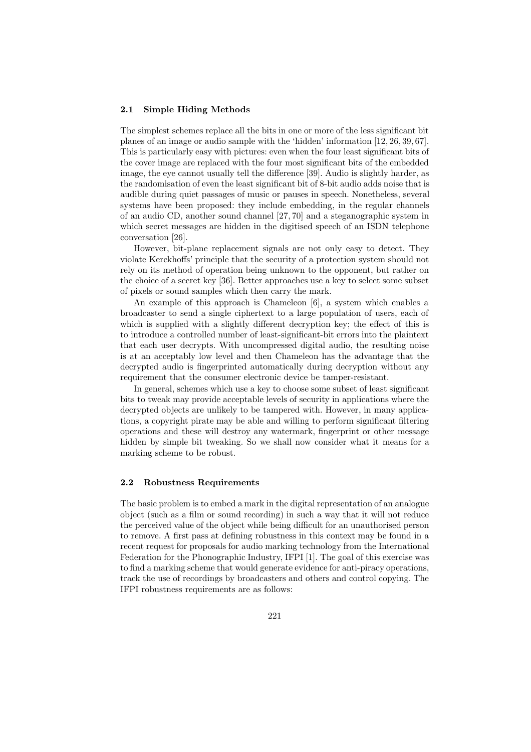#### **2.1 Simple Hiding Methods**

The simplest schemes replace all the bits in one or more of the less significant bit planes of an image or audio sample with the 'hidden' information [12, 26, 39, 67]. This is particularly easy with pictures: even when the four least significant bits of the cover image are replaced with the four most significant bits of the embedded image, the eye cannot usually tell the difference [39]. Audio is slightly harder, as the randomisation of even the least significant bit of 8-bit audio adds noise that is audible during quiet passages of music or pauses in speech. Nonetheless, several systems have been proposed: they include embedding, in the regular channels of an audio CD, another sound channel [27, 70] and a steganographic system in which secret messages are hidden in the digitised speech of an ISDN telephone conversation [26].

However, bit-plane replacement signals are not only easy to detect. They violate Kerckhoffs' principle that the security of a protection system should not rely on its method of operation being unknown to the opponent, but rather on the choice of a secret key [36]. Better approaches use a key to select some subset of pixels or sound samples which then carry the mark.

An example of this approach is Chameleon [6], a system which enables a broadcaster to send a single ciphertext to a large population of users, each of which is supplied with a slightly different decryption key; the effect of this is to introduce a controlled number of least-significant-bit errors into the plaintext that each user decrypts. With uncompressed digital audio, the resulting noise is at an acceptably low level and then Chameleon has the advantage that the decrypted audio is fingerprinted automatically during decryption without any requirement that the consumer electronic device be tamper-resistant.

In general, schemes which use a key to choose some subset of least significant bits to tweak may provide acceptable levels of security in applications where the decrypted objects are unlikely to be tampered with. However, in many applications, a copyright pirate may be able and willing to perform significant filtering operations and these will destroy any watermark, fingerprint or other message hidden by simple bit tweaking. So we shall now consider what it means for a marking scheme to be robust.

#### **2.2 Robustness Requirements**

The basic problem is to embed a mark in the digital representation of an analogue object (such as a film or sound recording) in such a way that it will not reduce the perceived value of the object while being difficult for an unauthorised person to remove. A first pass at defining robustness in this context may be found in a recent request for proposals for audio marking technology from the International Federation for the Phonographic Industry, IFPI [1]. The goal of this exercise was to find a marking scheme that would generate evidence for anti-piracy operations, track the use of recordings by broadcasters and others and control copying. The IFPI robustness requirements are as follows: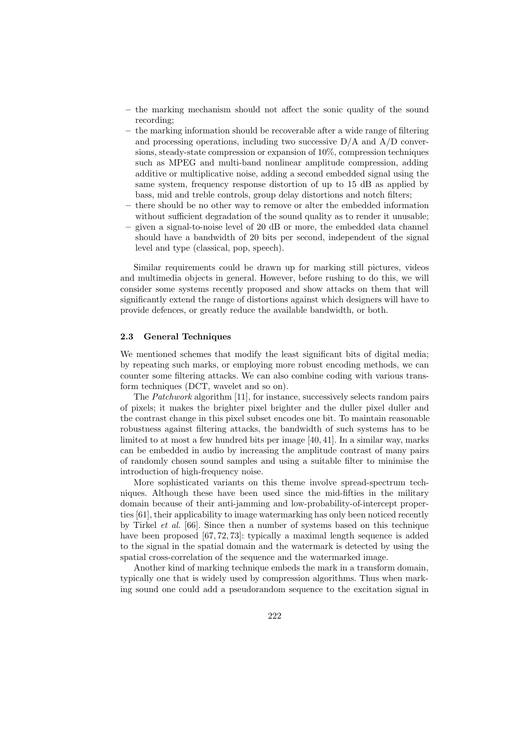- **–** the marking mechanism should not affect the sonic quality of the sound recording;
- **–** the marking information should be recoverable after a wide range of filtering and processing operations, including two successive  $D/A$  and  $A/D$  conversions, steady-state compression or expansion of 10%, compression techniques such as MPEG and multi-band nonlinear amplitude compression, adding additive or multiplicative noise, adding a second embedded signal using the same system, frequency response distortion of up to 15 dB as applied by bass, mid and treble controls, group delay distortions and notch filters;
- **–** there should be no other way to remove or alter the embedded information without sufficient degradation of the sound quality as to render it unusable;
- **–** given a signal-to-noise level of 20 dB or more, the embedded data channel should have a bandwidth of 20 bits per second, independent of the signal level and type (classical, pop, speech).

Similar requirements could be drawn up for marking still pictures, videos and multimedia objects in general. However, before rushing to do this, we will consider some systems recently proposed and show attacks on them that will significantly extend the range of distortions against which designers will have to provide defences, or greatly reduce the available bandwidth, or both.

# **2.3 General Techniques**

We mentioned schemes that modify the least significant bits of digital media; by repeating such marks, or employing more robust encoding methods, we can counter some filtering attacks. We can also combine coding with various transform techniques (DCT, wavelet and so on).

The Patchwork algorithm [11], for instance, successively selects random pairs of pixels; it makes the brighter pixel brighter and the duller pixel duller and the contrast change in this pixel subset encodes one bit. To maintain reasonable robustness against filtering attacks, the bandwidth of such systems has to be limited to at most a few hundred bits per image [40, 41]. In a similar way, marks can be embedded in audio by increasing the amplitude contrast of many pairs of randomly chosen sound samples and using a suitable filter to minimise the introduction of high-frequency noise.

More sophisticated variants on this theme involve spread-spectrum techniques. Although these have been used since the mid-fifties in the military domain because of their anti-jamming and low-probability-of-intercept properties [61], their applicability to image watermarking has only been noticed recently by Tirkel et al. [66]. Since then a number of systems based on this technique have been proposed [67, 72, 73]: typically a maximal length sequence is added to the signal in the spatial domain and the watermark is detected by using the spatial cross-correlation of the sequence and the watermarked image.

Another kind of marking technique embeds the mark in a transform domain, typically one that is widely used by compression algorithms. Thus when marking sound one could add a pseudorandom sequence to the excitation signal in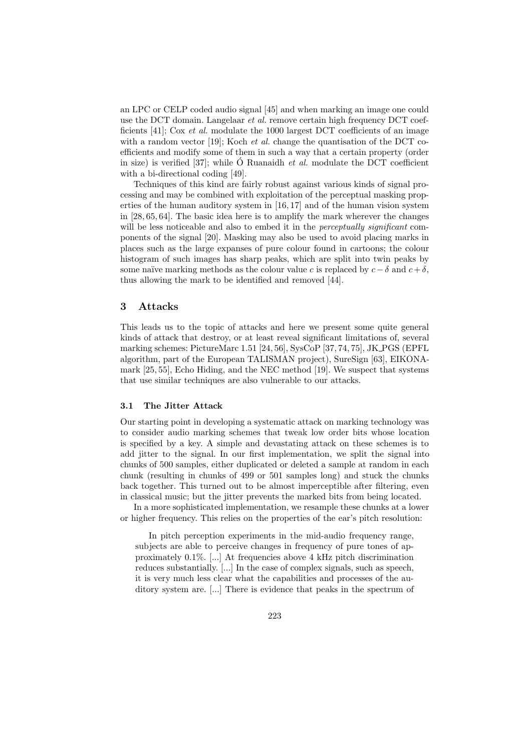an LPC or CELP coded audio signal [45] and when marking an image one could use the DCT domain. Langelaar *et al.* remove certain high frequency DCT coefficients  $[41]$ ; Cox *et al.* modulate the 1000 largest DCT coefficients of an image with a random vector [19]; Koch *et al.* change the quantisation of the DCT coefficients and modify some of them in such a way that a certain property (order in size) is verified [37]; while  $\acute{O}$  Ruanaidh *et al.* modulate the DCT coefficient with a bi-directional coding [49].

Techniques of this kind are fairly robust against various kinds of signal processing and may be combined with exploitation of the perceptual masking properties of the human auditory system in [16, 17] and of the human vision system in [28, 65, 64]. The basic idea here is to amplify the mark wherever the changes will be less noticeable and also to embed it in the *perceptually significant* components of the signal [20]. Masking may also be used to avoid placing marks in places such as the large expanses of pure colour found in cartoons; the colour histogram of such images has sharp peaks, which are split into twin peaks by some naïve marking methods as the colour value c is replaced by  $c - \delta$  and  $c + \delta$ . thus allowing the mark to be identified and removed [44].

# **3 Attacks**

This leads us to the topic of attacks and here we present some quite general kinds of attack that destroy, or at least reveal significant limitations of, several marking schemes: PictureMarc 1.51 [24, 56], SysCoP [37, 74, 75], JK PGS (EPFL algorithm, part of the European TALISMAN project), SureSign [63], EIKONAmark [25, 55], Echo Hiding, and the NEC method [19]. We suspect that systems that use similar techniques are also vulnerable to our attacks.

#### **3.1 The Jitter Attack**

Our starting point in developing a systematic attack on marking technology was to consider audio marking schemes that tweak low order bits whose location is specified by a key. A simple and devastating attack on these schemes is to add jitter to the signal. In our first implementation, we split the signal into chunks of 500 samples, either duplicated or deleted a sample at random in each chunk (resulting in chunks of 499 or 501 samples long) and stuck the chunks back together. This turned out to be almost imperceptible after filtering, even in classical music; but the jitter prevents the marked bits from being located.

In a more sophisticated implementation, we resample these chunks at a lower or higher frequency. This relies on the properties of the ear's pitch resolution:

In pitch perception experiments in the mid-audio frequency range, subjects are able to perceive changes in frequency of pure tones of approximately 0.1%. [...] At frequencies above 4 kHz pitch discrimination reduces substantially. [...] In the case of complex signals, such as speech, it is very much less clear what the capabilities and processes of the auditory system are. [...] There is evidence that peaks in the spectrum of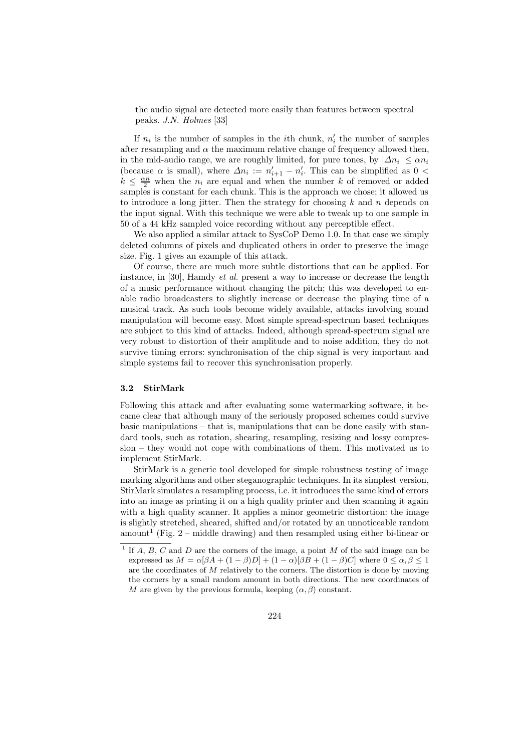the audio signal are detected more easily than features between spectral peaks. J.N. Holmes [33]

If  $n_i$  is the number of samples in the *i*<sup>th</sup> chunk,  $n'_i$  the number of samples after resampling and  $\alpha$  the maximum relative change of frequency allowed then, in the mid-audio range, we are roughly limited, for pure tones, by  $|\Delta n_i| \leq \alpha n_i$ (because  $\alpha$  is small), where  $\Delta n_i := n'_{i+1} - n'_i$ . This can be simplified as  $0 \leq$  $k \leq \frac{\alpha n}{2}$  when the  $n_i$  are equal and when the number k of removed or added samples is constant for each chunk. This is the approach we chose; it allowed us to introduce a long jitter. Then the strategy for choosing  $k$  and  $n$  depends on the input signal. With this technique we were able to tweak up to one sample in 50 of a 44 kHz sampled voice recording without any perceptible effect.

We also applied a similar attack to SysCoP Demo 1.0. In that case we simply deleted columns of pixels and duplicated others in order to preserve the image size. Fig. 1 gives an example of this attack.

Of course, there are much more subtle distortions that can be applied. For instance, in [30], Hamdy et al. present a way to increase or decrease the length of a music performance without changing the pitch; this was developed to enable radio broadcasters to slightly increase or decrease the playing time of a musical track. As such tools become widely available, attacks involving sound manipulation will become easy. Most simple spread-spectrum based techniques are subject to this kind of attacks. Indeed, although spread-spectrum signal are very robust to distortion of their amplitude and to noise addition, they do not survive timing errors: synchronisation of the chip signal is very important and simple systems fail to recover this synchronisation properly.

#### **3.2 StirMark**

Following this attack and after evaluating some watermarking software, it became clear that although many of the seriously proposed schemes could survive basic manipulations – that is, manipulations that can be done easily with standard tools, such as rotation, shearing, resampling, resizing and lossy compression – they would not cope with combinations of them. This motivated us to implement StirMark.

StirMark is a generic tool developed for simple robustness testing of image marking algorithms and other steganographic techniques. In its simplest version, StirMark simulates a resampling process, i.e. it introduces the same kind of errors into an image as printing it on a high quality printer and then scanning it again with a high quality scanner. It applies a minor geometric distortion: the image is slightly stretched, sheared, shifted and/or rotated by an unnoticeable random amount<sup>1</sup> (Fig. 2 – middle drawing) and then resampled using either bi-linear or

<sup>&</sup>lt;sup>1</sup> If A, B, C and D are the corners of the image, a point M of the said image can be expressed as  $M = \alpha[\beta A + (1 - \beta)D] + (1 - \alpha)[\beta B + (1 - \beta)C]$  where  $0 \leq \alpha, \beta \leq 1$ are the coordinates of M relatively to the corners. The distortion is done by moving the corners by a small random amount in both directions. The new coordinates of M are given by the previous formula, keeping  $(\alpha, \beta)$  constant.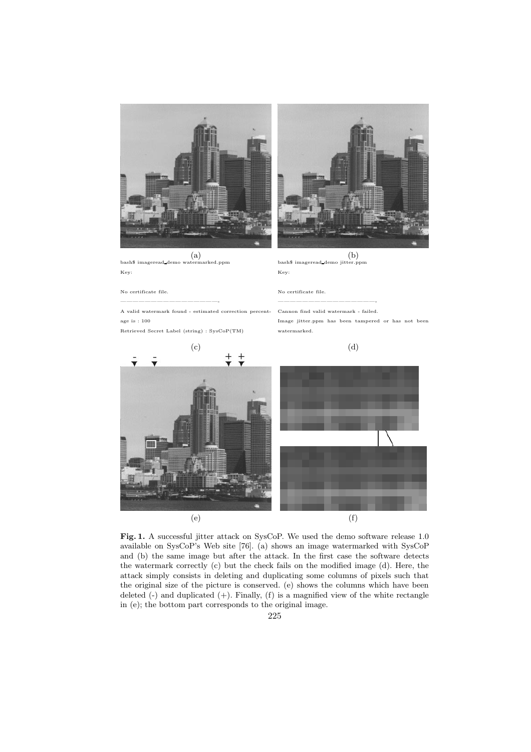

bash\$ imageread\_demo Key:

————————————————-

No certificate file.

A valid watermark found - estimated correction percentage is : 100



 $\label{eq:1} \begin{array}{cc} \textbf{(a)} & \textbf{(b)} \\ \text{atermarked.ppm} & \text{bash\$ imageread_demo jitter.p} \end{array}$ bash\$ imageread demo jitter.ppm Key:

No certificate file.

————————————————- Cannon find valid watermark - failed.

Image jitter.ppm has been tampered or has not been



Fig. 1. A successful jitter attack on SysCoP. We used the demo software release 1.0 available on SysCoP's Web site [76]. (a) shows an image watermarked with SysCoP and (b) the same image but after the attack. In the first case the software detects the watermark correctly (c) but the check fails on the modified image (d). Here, the attack simply consists in deleting and duplicating some columns of pixels such that the original size of the picture is conserved. (e) shows the columns which have been deleted  $(-)$  and duplicated  $(+)$ . Finally,  $(f)$  is a magnified view of the white rectangle in (e); the bottom part corresponds to the original image.

 $(e)$  (f)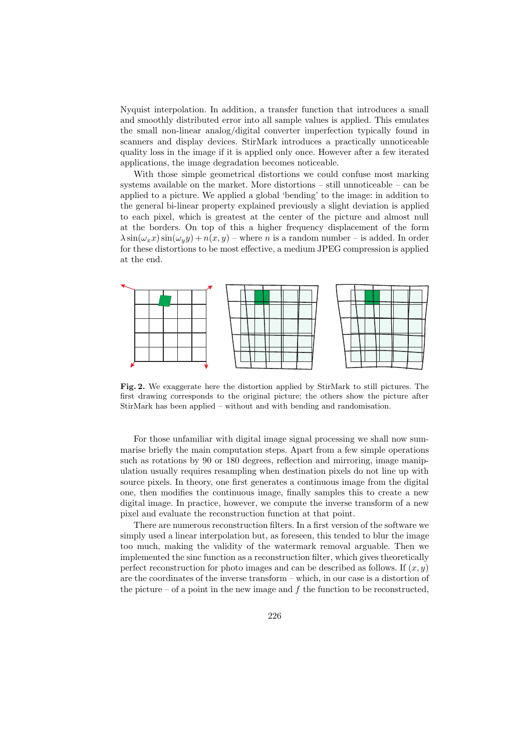Nyquist interpolation. In addition, a transfer function that introduces a small and smoothly distributed error into all sample values is applied. This emulates the small non-linear analog/digital converter imperfection typically found in scanners and display devices. StirMark introduces a practically unnoticeable quality loss in the image if it is applied only once. However after a few iterated applications, the image degradation becomes noticeable.

With those simple geometrical distortions we could confuse most marking systems available on the market. More distortions – still unnoticeable – can be applied to a picture. We applied a global 'bending' to the image: in addition to the general bi-linear property explained previously a slight deviation is applied to each pixel, which is greatest at the center of the picture and almost null at the borders. On top of this a higher frequency displacement of the form  $\lambda \sin(\omega_x x) \sin(\omega_y y) + n(x, y)$  – where *n* is a random number – is added. In order for these distortions to be most effective, a medium JPEG compression is applied at the end.



**Fig. 2.** We exaggerate here the distortion applied by StirMark to still pictures. The first drawing corresponds to the original picture; the others show the picture after StirMark has been applied – without and with bending and randomisation.

For those unfamiliar with digital image signal processing we shall now summarise briefly the main computation steps. Apart from a few simple operations such as rotations by 90 or 180 degrees, reflection and mirroring, image manipulation usually requires resampling when destination pixels do not line up with source pixels. In theory, one first generates a continuous image from the digital one, then modifies the continuous image, finally samples this to create a new digital image. In practice, however, we compute the inverse transform of a new pixel and evaluate the reconstruction function at that point.

There are numerous reconstruction filters. In a first version of the software we simply used a linear interpolation but, as foreseen, this tended to blur the image too much, making the validity of the watermark removal arguable. Then we implemented the sinc function as a reconstruction filter, which gives theoretically perfect reconstruction for photo images and can be described as follows. If  $(x, y)$ are the coordinates of the inverse transform – which, in our case is a distortion of the picture – of a point in the new image and  $f$  the function to be reconstructed,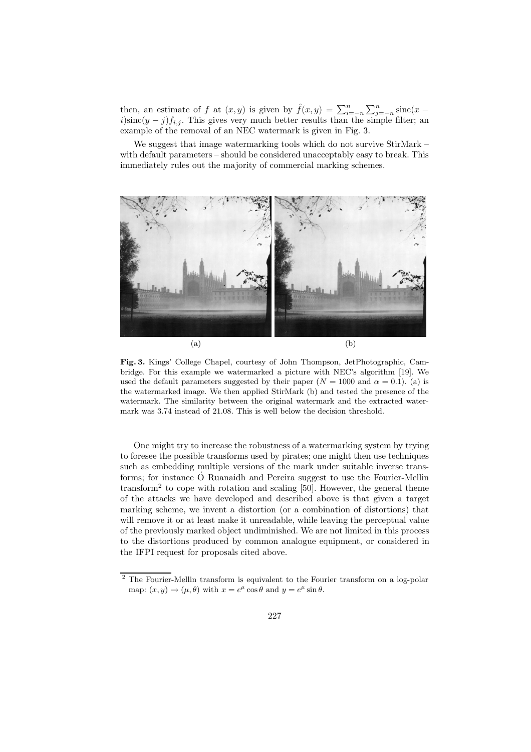then, an estimate of f at  $(x, y)$  is given by  $\hat{f}(x, y) = \sum_{i=-n}^{n} \sum_{j=-n}^{n} \text{sinc}(x - y)$  $i)$ sinc $(y - j) f_{i,j}$ . This gives very much better results than the simple filter; an example of the removal of an NEC watermark is given in Fig. 3.

We suggest that image watermarking tools which do not survive StirMark – with default parameters – should be considered unacceptably easy to break. This immediately rules out the majority of commercial marking schemes.



**Fig. 3.** Kings' College Chapel, courtesy of John Thompson, JetPhotographic, Cambridge. For this example we watermarked a picture with NEC's algorithm [19]. We used the default parameters suggested by their paper ( $N = 1000$  and  $\alpha = 0.1$ ). (a) is the watermarked image. We then applied StirMark (b) and tested the presence of the watermark. The similarity between the original watermark and the extracted watermark was 3.74 instead of 21.08. This is well below the decision threshold.

One might try to increase the robustness of a watermarking system by trying to foresee the possible transforms used by pirates; one might then use techniques such as embedding multiple versions of the mark under suitable inverse transforms; for instance  $\acute{O}$  Ruanaidh and Pereira suggest to use the Fourier-Mellin transform<sup>2</sup> to cope with rotation and scaling [50]. However, the general theme of the attacks we have developed and described above is that given a target marking scheme, we invent a distortion (or a combination of distortions) that will remove it or at least make it unreadable, while leaving the perceptual value of the previously marked object undiminished. We are not limited in this process to the distortions produced by common analogue equipment, or considered in the IFPI request for proposals cited above.

<sup>&</sup>lt;sup>2</sup> The Fourier-Mellin transform is equivalent to the Fourier transform on a log-polar map:  $(x, y) \rightarrow (\mu, \theta)$  with  $x = e^{\mu} \cos \theta$  and  $y = e^{\mu} \sin \theta$ .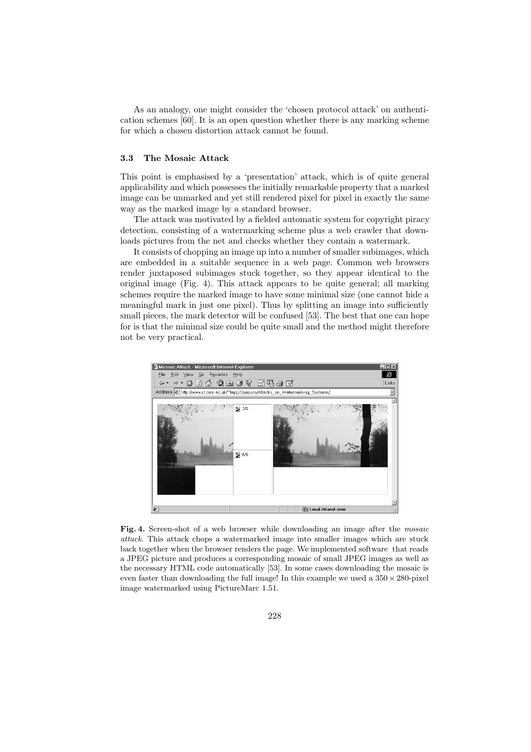As an analogy, one might consider the 'chosen protocol attack' on authentication schemes [60]. It is an open question whether there is any marking scheme for which a chosen distortion attack cannot be found.

#### **3.3 The Mosaic Attack**

This point is emphasised by a 'presentation' attack, which is of quite general applicability and which possesses the initially remarkable property that a marked image can be unmarked and yet still rendered pixel for pixel in exactly the same way as the marked image by a standard browser.

The attack was motivated by a fielded automatic system for copyright piracy detection, consisting of a watermarking scheme plus a web crawler that downloads pictures from the net and checks whether they contain a watermark.

It consists of chopping an image up into a number of smaller subimages, which are embedded in a suitable sequence in a web page. Common web browsers render juxtaposed subimages stuck together, so they appear identical to the original image (Fig. 4). This attack appears to be quite general; all marking schemes require the marked image to have some minimal size (one cannot hide a meaningful mark in just one pixel). Thus by splitting an image into sufficiently small pieces, the mark detector will be confused [53]. The best that one can hope for is that the minimal size could be quite small and the method might therefore not be very practical.



**Fig. 4.** Screen-shot of a web browser while downloading an image after the mosaic attack. This attack chops a watermarked image into smaller images which are stuck back together when the browser renders the page. We implemented software that reads a JPEG picture and produces a corresponding mosaic of small JPEG images as well as the necessary HTML code automatically [53]. In some cases downloading the mosaic is even faster than downloading the full image! In this example we used a  $350 \times 280$ -pixel image watermarked using PictureMarc 1.51.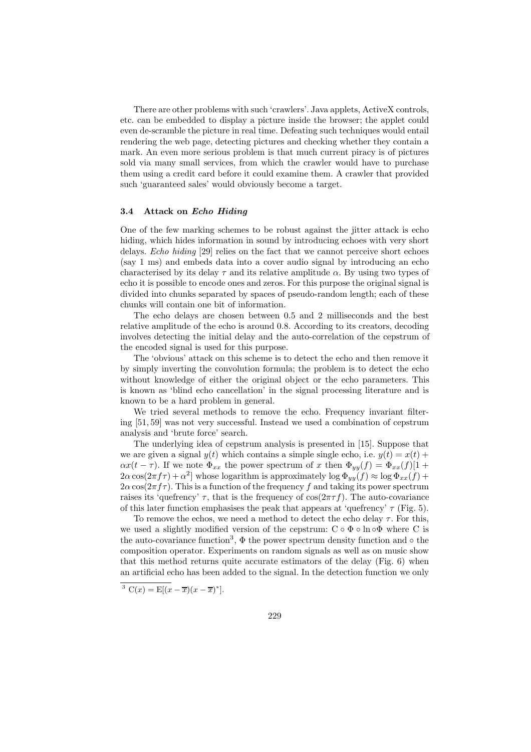There are other problems with such 'crawlers'. Java applets, ActiveX controls, etc. can be embedded to display a picture inside the browser; the applet could even de-scramble the picture in real time. Defeating such techniques would entail rendering the web page, detecting pictures and checking whether they contain a mark. An even more serious problem is that much current piracy is of pictures sold via many small services, from which the crawler would have to purchase them using a credit card before it could examine them. A crawler that provided such 'guaranteed sales' would obviously become a target.

#### **3.4 Attack on** *Echo Hiding*

One of the few marking schemes to be robust against the jitter attack is echo hiding, which hides information in sound by introducing echoes with very short delays. Echo hiding [29] relies on the fact that we cannot perceive short echoes (say 1 ms) and embeds data into a cover audio signal by introducing an echo characterised by its delay  $\tau$  and its relative amplitude  $\alpha$ . By using two types of echo it is possible to encode ones and zeros. For this purpose the original signal is divided into chunks separated by spaces of pseudo-random length; each of these chunks will contain one bit of information.

The echo delays are chosen between 0.5 and 2 milliseconds and the best relative amplitude of the echo is around 0.8. According to its creators, decoding involves detecting the initial delay and the auto-correlation of the cepstrum of the encoded signal is used for this purpose.

The 'obvious' attack on this scheme is to detect the echo and then remove it by simply inverting the convolution formula; the problem is to detect the echo without knowledge of either the original object or the echo parameters. This is known as 'blind echo cancellation' in the signal processing literature and is known to be a hard problem in general.

We tried several methods to remove the echo. Frequency invariant filtering [51, 59] was not very successful. Instead we used a combination of cepstrum analysis and 'brute force' search.

The underlying idea of cepstrum analysis is presented in [15]. Suppose that we are given a signal  $y(t)$  which contains a simple single echo, i.e.  $y(t) = x(t) +$  $\alpha x(t - \tau)$ . If we note  $\Phi_{xx}$  the power spectrum of x then  $\Phi_{yy}(f) = \Phi_{xx}(f)[1 +$  $2\alpha \cos(2\pi f \tau) + \alpha^2$  whose logarithm is approximately  $\log \Phi_{yy}(f) \approx \log \Phi_{xx}(f) + \alpha^2$  $2\alpha \cos(2\pi f \tau)$ . This is a function of the frequency f and taking its power spectrum raises its 'quefrency'  $\tau$ , that is the frequency of  $\cos(2\pi\tau f)$ . The auto-covariance of this later function emphasises the peak that appears at 'quefrency'  $\tau$  (Fig. 5).

To remove the echos, we need a method to detect the echo delay  $\tau$ . For this, we used a slightly modified version of the cepstrum:  $C \circ \Phi \circ \ln \circ \Phi$  where C is the auto-covariance function<sup>3</sup>,  $\Phi$  the power spectrum density function and  $\circ$  the composition operator. Experiments on random signals as well as on music show that this method returns quite accurate estimators of the delay (Fig. 6) when an artificial echo has been added to the signal. In the detection function we only

$$
{}^{3}C(x) = E[(x - \overline{x})(x - \overline{x})^{*}].
$$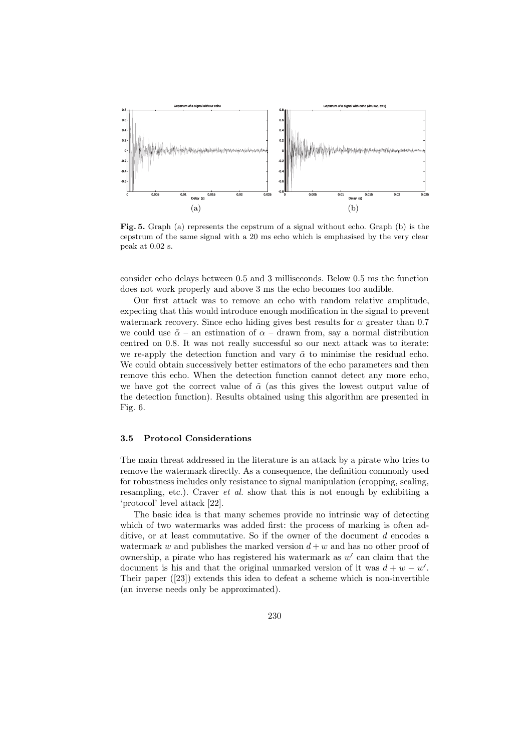

**Fig. 5.** Graph (a) represents the cepstrum of a signal without echo. Graph (b) is the cepstrum of the same signal with a 20 ms echo which is emphasised by the very clear peak at 0.02 s.

consider echo delays between 0.5 and 3 milliseconds. Below 0.5 ms the function does not work properly and above 3 ms the echo becomes too audible.

Our first attack was to remove an echo with random relative amplitude, expecting that this would introduce enough modification in the signal to prevent watermark recovery. Since echo hiding gives best results for  $\alpha$  greater than 0.7 we could use  $\tilde{\alpha}$  – an estimation of  $\alpha$  – drawn from, say a normal distribution centred on 0.8. It was not really successful so our next attack was to iterate: we re-apply the detection function and vary  $\tilde{\alpha}$  to minimise the residual echo. We could obtain successively better estimators of the echo parameters and then remove this echo. When the detection function cannot detect any more echo, we have got the correct value of  $\tilde{\alpha}$  (as this gives the lowest output value of the detection function). Results obtained using this algorithm are presented in Fig. 6.

#### **3.5 Protocol Considerations**

The main threat addressed in the literature is an attack by a pirate who tries to remove the watermark directly. As a consequence, the definition commonly used for robustness includes only resistance to signal manipulation (cropping, scaling, resampling, etc.). Craver *et al.* show that this is not enough by exhibiting a 'protocol' level attack [22].

The basic idea is that many schemes provide no intrinsic way of detecting which of two watermarks was added first: the process of marking is often additive, or at least commutative. So if the owner of the document d encodes a watermark w and publishes the marked version  $d + w$  and has no other proof of ownership, a pirate who has registered his watermark as  $w'$  can claim that the document is his and that the original unmarked version of it was  $d + w - w'$ . Their paper ([23]) extends this idea to defeat a scheme which is non-invertible (an inverse needs only be approximated).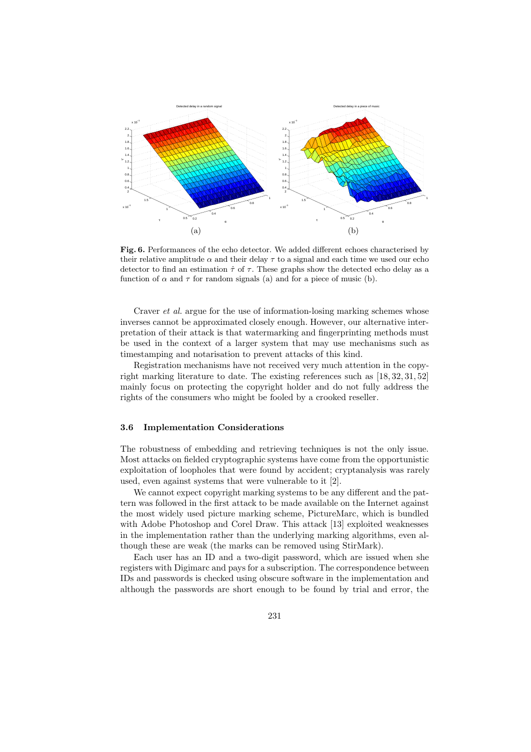

Fig. 6. Performances of the echo detector. We added different echoes characterised by their relative amplitude  $\alpha$  and their delay  $\tau$  to a signal and each time we used our echo detector to find an estimation  $\hat{\tau}$  of  $\tau$ . These graphs show the detected echo delay as a function of  $\alpha$  and  $\tau$  for random signals (a) and for a piece of music (b).

Craver et al. argue for the use of information-losing marking schemes whose inverses cannot be approximated closely enough. However, our alternative interpretation of their attack is that watermarking and fingerprinting methods must be used in the context of a larger system that may use mechanisms such as timestamping and notarisation to prevent attacks of this kind.

Registration mechanisms have not received very much attention in the copyright marking literature to date. The existing references such as [18, 32, 31, 52] mainly focus on protecting the copyright holder and do not fully address the rights of the consumers who might be fooled by a crooked reseller.

#### **3.6 Implementation Considerations**

The robustness of embedding and retrieving techniques is not the only issue. Most attacks on fielded cryptographic systems have come from the opportunistic exploitation of loopholes that were found by accident; cryptanalysis was rarely used, even against systems that were vulnerable to it [2].

We cannot expect copyright marking systems to be any different and the pattern was followed in the first attack to be made available on the Internet against the most widely used picture marking scheme, PictureMarc, which is bundled with Adobe Photoshop and Corel Draw. This attack [13] exploited weaknesses in the implementation rather than the underlying marking algorithms, even although these are weak (the marks can be removed using StirMark).

Each user has an ID and a two-digit password, which are issued when she registers with Digimarc and pays for a subscription. The correspondence between IDs and passwords is checked using obscure software in the implementation and although the passwords are short enough to be found by trial and error, the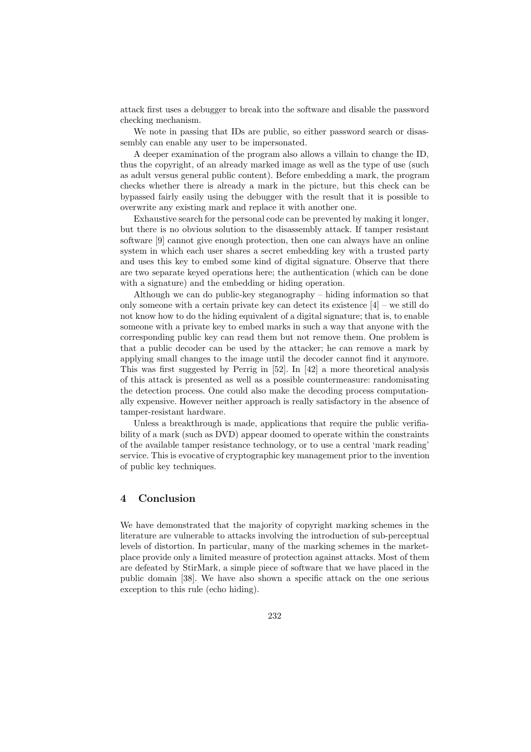attack first uses a debugger to break into the software and disable the password checking mechanism.

We note in passing that IDs are public, so either password search or disassembly can enable any user to be impersonated.

A deeper examination of the program also allows a villain to change the ID, thus the copyright, of an already marked image as well as the type of use (such as adult versus general public content). Before embedding a mark, the program checks whether there is already a mark in the picture, but this check can be bypassed fairly easily using the debugger with the result that it is possible to overwrite any existing mark and replace it with another one.

Exhaustive search for the personal code can be prevented by making it longer, but there is no obvious solution to the disassembly attack. If tamper resistant software [9] cannot give enough protection, then one can always have an online system in which each user shares a secret embedding key with a trusted party and uses this key to embed some kind of digital signature. Observe that there are two separate keyed operations here; the authentication (which can be done with a signature) and the embedding or hiding operation.

Although we can do public-key steganography – hiding information so that only someone with a certain private key can detect its existence  $[4]$  – we still do not know how to do the hiding equivalent of a digital signature; that is, to enable someone with a private key to embed marks in such a way that anyone with the corresponding public key can read them but not remove them. One problem is that a public decoder can be used by the attacker; he can remove a mark by applying small changes to the image until the decoder cannot find it anymore. This was first suggested by Perrig in [52]. In [42] a more theoretical analysis of this attack is presented as well as a possible countermeasure: randomisating the detection process. One could also make the decoding process computationally expensive. However neither approach is really satisfactory in the absence of tamper-resistant hardware.

Unless a breakthrough is made, applications that require the public verifiability of a mark (such as DVD) appear doomed to operate within the constraints of the available tamper resistance technology, or to use a central 'mark reading' service. This is evocative of cryptographic key management prior to the invention of public key techniques.

# **4 Conclusion**

We have demonstrated that the majority of copyright marking schemes in the literature are vulnerable to attacks involving the introduction of sub-perceptual levels of distortion. In particular, many of the marking schemes in the marketplace provide only a limited measure of protection against attacks. Most of them are defeated by StirMark, a simple piece of software that we have placed in the public domain [38]. We have also shown a specific attack on the one serious exception to this rule (echo hiding).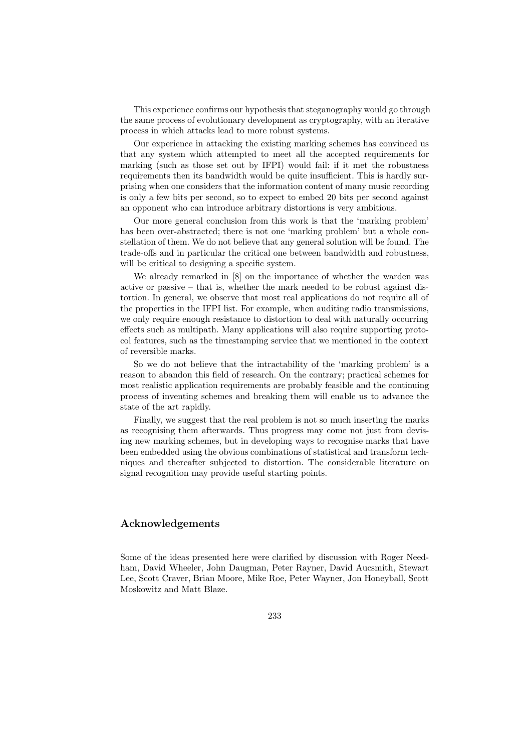This experience confirms our hypothesis that steganography would go through the same process of evolutionary development as cryptography, with an iterative process in which attacks lead to more robust systems.

Our experience in attacking the existing marking schemes has convinced us that any system which attempted to meet all the accepted requirements for marking (such as those set out by IFPI) would fail: if it met the robustness requirements then its bandwidth would be quite insufficient. This is hardly surprising when one considers that the information content of many music recording is only a few bits per second, so to expect to embed 20 bits per second against an opponent who can introduce arbitrary distortions is very ambitious.

Our more general conclusion from this work is that the 'marking problem' has been over-abstracted; there is not one 'marking problem' but a whole constellation of them. We do not believe that any general solution will be found. The trade-offs and in particular the critical one between bandwidth and robustness, will be critical to designing a specific system.

We already remarked in [8] on the importance of whether the warden was active or passive – that is, whether the mark needed to be robust against distortion. In general, we observe that most real applications do not require all of the properties in the IFPI list. For example, when auditing radio transmissions, we only require enough resistance to distortion to deal with naturally occurring effects such as multipath. Many applications will also require supporting protocol features, such as the timestamping service that we mentioned in the context of reversible marks.

So we do not believe that the intractability of the 'marking problem' is a reason to abandon this field of research. On the contrary; practical schemes for most realistic application requirements are probably feasible and the continuing process of inventing schemes and breaking them will enable us to advance the state of the art rapidly.

Finally, we suggest that the real problem is not so much inserting the marks as recognising them afterwards. Thus progress may come not just from devising new marking schemes, but in developing ways to recognise marks that have been embedded using the obvious combinations of statistical and transform techniques and thereafter subjected to distortion. The considerable literature on signal recognition may provide useful starting points.

# **Acknowledgements**

Some of the ideas presented here were clarified by discussion with Roger Needham, David Wheeler, John Daugman, Peter Rayner, David Aucsmith, Stewart Lee, Scott Craver, Brian Moore, Mike Roe, Peter Wayner, Jon Honeyball, Scott Moskowitz and Matt Blaze.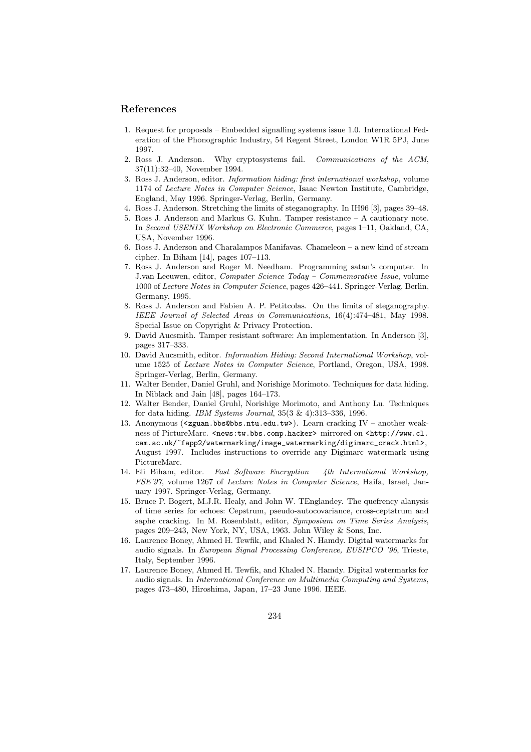# **References**

- 1. Request for proposals Embedded signalling systems issue 1.0. International Federation of the Phonographic Industry, 54 Regent Street, London W1R 5PJ, June 1997.
- 2. Ross J. Anderson. Why cryptosystems fail. Communications of the ACM, 37(11):32–40, November 1994.
- 3. Ross J. Anderson, editor. Information hiding: first international workshop, volume 1174 of Lecture Notes in Computer Science, Isaac Newton Institute, Cambridge, England, May 1996. Springer-Verlag, Berlin, Germany.
- 4. Ross J. Anderson. Stretching the limits of steganography. In IH96 [3], pages 39–48.
- 5. Ross J. Anderson and Markus G. Kuhn. Tamper resistance A cautionary note. In Second USENIX Workshop on Electronic Commerce, pages 1–11, Oakland, CA, USA, November 1996.
- 6. Ross J. Anderson and Charalampos Manifavas. Chameleon a new kind of stream cipher. In Biham [14], pages 107–113.
- 7. Ross J. Anderson and Roger M. Needham. Programming satan's computer. In J.van Leeuwen, editor, Computer Science Today – Commemorative Issue, volume 1000 of Lecture Notes in Computer Science, pages 426–441. Springer-Verlag, Berlin, Germany, 1995.
- 8. Ross J. Anderson and Fabien A. P. Petitcolas. On the limits of steganography. IEEE Journal of Selected Areas in Communications, 16(4):474–481, May 1998. Special Issue on Copyright & Privacy Protection.
- 9. David Aucsmith. Tamper resistant software: An implementation. In Anderson [3], pages 317–333.
- 10. David Aucsmith, editor. Information Hiding: Second International Workshop, volume 1525 of Lecture Notes in Computer Science, Portland, Oregon, USA, 1998. Springer-Verlag, Berlin, Germany.
- 11. Walter Bender, Daniel Gruhl, and Norishige Morimoto. Techniques for data hiding. In Niblack and Jain [48], pages 164–173.
- 12. Walter Bender, Daniel Gruhl, Norishige Morimoto, and Anthony Lu. Techniques for data hiding. IBM Systems Journal, 35(3 & 4):313–336, 1996.
- 13. Anonymous ( $\epsilon$ zguan.bbs@bbs.ntu.edu.tw>). Learn cracking IV another weakness of PictureMarc. <news:tw.bbs.comp.hacker> mirrored on <http://www.cl. cam.ac.uk/~fapp2/watermarking/image\_watermarking/digimarc\_crack.html>, August 1997. Includes instructions to override any Digimarc watermark using PictureMarc.
- 14. Eli Biham, editor. Fast Software Encryption 4th International Workshop, FSE'97, volume 1267 of Lecture Notes in Computer Science, Haifa, Israel, January 1997. Springer-Verlag, Germany.
- 15. Bruce P. Bogert, M.J.R. Healy, and John W. TEnglandey. The quefrency alanysis of time series for echoes: Cepstrum, pseudo-autocovariance, cross-ceptstrum and saphe cracking. In M. Rosenblatt, editor, Symposium on Time Series Analysis, pages 209–243, New York, NY, USA, 1963. John Wiley & Sons, Inc.
- 16. Laurence Boney, Ahmed H. Tewfik, and Khaled N. Hamdy. Digital watermarks for audio signals. In European Signal Processing Conference, EUSIPCO '96, Trieste, Italy, September 1996.
- 17. Laurence Boney, Ahmed H. Tewfik, and Khaled N. Hamdy. Digital watermarks for audio signals. In International Conference on Multimedia Computing and Systems, pages 473–480, Hiroshima, Japan, 17–23 June 1996. IEEE.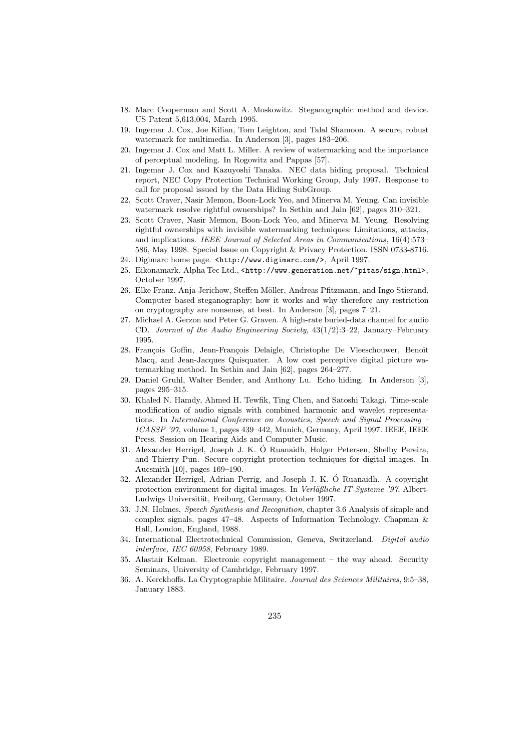- 18. Marc Cooperman and Scott A. Moskowitz. Steganographic method and device. US Patent 5,613,004, March 1995.
- 19. Ingemar J. Cox, Joe Kilian, Tom Leighton, and Talal Shamoon. A secure, robust watermark for multimedia. In Anderson [3], pages 183–206.
- 20. Ingemar J. Cox and Matt L. Miller. A review of watermarking and the importance of perceptual modeling. In Rogowitz and Pappas [57].
- 21. Ingemar J. Cox and Kazuyoshi Tanaka. NEC data hiding proposal. Technical report, NEC Copy Protection Technical Working Group, July 1997. Response to call for proposal issued by the Data Hiding SubGroup.
- 22. Scott Craver, Nasir Memon, Boon-Lock Yeo, and Minerva M. Yeung. Can invisible watermark resolve rightful ownerships? In Sethin and Jain [62], pages 310–321.
- 23. Scott Craver, Nasir Memon, Boon-Lock Yeo, and Minerva M. Yeung. Resolving rightful ownerships with invisible watermarking techniques: Limitations, attacks, and implications. IEEE Journal of Selected Areas in Communications, 16(4):573– 586, May 1998. Special Issue on Copyright & Privacy Protection. ISSN 0733-8716.
- 24. Digimarc home page. <http://www.digimarc.com/>, April 1997.
- 25. Eikonamark. Alpha Tec Ltd., <http://www.generation.net/~pitas/sign.html>, October 1997.
- 26. Elke Franz, Anja Jerichow, Steffen Möller, Andreas Pfitzmann, and Ingo Stierand. Computer based steganography: how it works and why therefore any restriction on cryptography are nonsense, at best. In Anderson [3], pages 7–21.
- 27. Michael A. Gerzon and Peter G. Graven. A high-rate buried-data channel for audio CD. Journal of the Audio Engineering Society,  $43(1/2)$ :3–22, January–February 1995.
- 28. François Goffin, Jean-François Delaigle, Christophe De Vleeschouwer, Benoît Macq, and Jean-Jacques Quisquater. A low cost perceptive digital picture watermarking method. In Sethin and Jain [62], pages 264–277.
- 29. Daniel Gruhl, Walter Bender, and Anthony Lu. Echo hiding. In Anderson [3], pages 295–315.
- 30. Khaled N. Hamdy, Ahmed H. Tewfik, Ting Chen, and Satoshi Takagi. Time-scale modification of audio signals with combined harmonic and wavelet representations. In International Conference on Acoustics, Speech and Signal Processing – ICASSP '97, volume 1, pages 439–442, Munich, Germany, April 1997. IEEE, IEEE Press. Session on Hearing Aids and Computer Music.
- 31. Alexander Herrigel, Joseph J. K. O Ruanaidh, Holger Petersen, Shelby Pereira, ´ and Thierry Pun. Secure copyright protection techniques for digital images. In Aucsmith [10], pages 169–190.
- 32. Alexander Herrigel, Adrian Perrig, and Joseph J. K. O Ruanaidh. A copyright ´ protection environment for digital images. In Verläßliche IT-Systeme '97, Albert-Ludwigs Universität, Freiburg, Germany, October 1997.
- 33. J.N. Holmes. Speech Synthesis and Recognition, chapter 3.6 Analysis of simple and complex signals, pages 47–48. Aspects of Information Technology. Chapman & Hall, London, England, 1988.
- 34. International Electrotechnical Commission, Geneva, Switzerland. Digital audio interface, IEC 60958, February 1989.
- 35. Alastair Kelman. Electronic copyright management the way ahead. Security Seminars, University of Cambridge, February 1997.
- 36. A. Kerckhoffs. La Cryptographie Militaire. Journal des Sciences Militaires, 9:5–38, January 1883.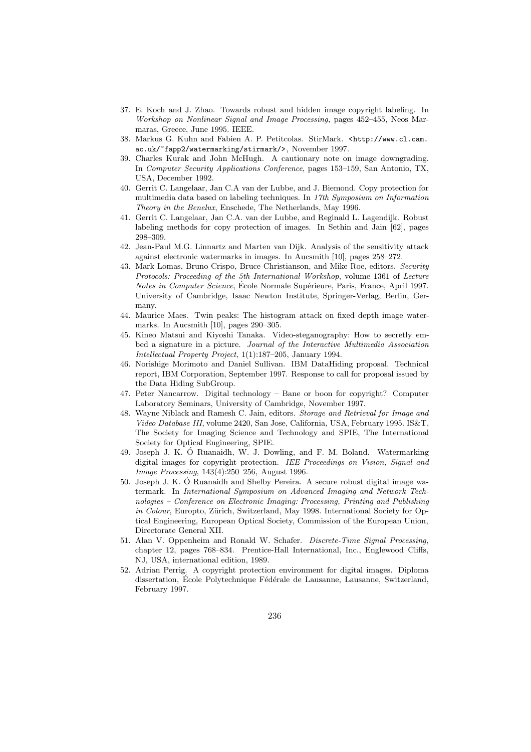- 37. E. Koch and J. Zhao. Towards robust and hidden image copyright labeling. In Workshop on Nonlinear Signal and Image Processing, pages 452–455, Neos Marmaras, Greece, June 1995. IEEE.
- 38. Markus G. Kuhn and Fabien A. P. Petitcolas. StirMark. <http://www.cl.cam. ac.uk/~fapp2/watermarking/stirmark/>, November 1997.
- 39. Charles Kurak and John McHugh. A cautionary note on image downgrading. In Computer Security Applications Conference, pages 153–159, San Antonio, TX, USA, December 1992.
- 40. Gerrit C. Langelaar, Jan C.A van der Lubbe, and J. Biemond. Copy protection for multimedia data based on labeling techniques. In 17th Symposium on Information Theory in the Benelux, Enschede, The Netherlands, May 1996.
- 41. Gerrit C. Langelaar, Jan C.A. van der Lubbe, and Reginald L. Lagendijk. Robust labeling methods for copy protection of images. In Sethin and Jain [62], pages 298–309.
- 42. Jean-Paul M.G. Linnartz and Marten van Dijk. Analysis of the sensitivity attack against electronic watermarks in images. In Aucsmith [10], pages 258–272.
- 43. Mark Lomas, Bruno Crispo, Bruce Christianson, and Mike Roe, editors. Security Protocols: Proceeding of the 5th International Workshop, volume 1361 of Lecture Notes in Computer Science, École Normale Supérieure, Paris, France, April 1997. University of Cambridge, Isaac Newton Institute, Springer-Verlag, Berlin, Germany.
- 44. Maurice Maes. Twin peaks: The histogram attack on fixed depth image watermarks. In Aucsmith [10], pages 290–305.
- 45. Kineo Matsui and Kiyoshi Tanaka. Video-steganography: How to secretly embed a signature in a picture. Journal of the Interactive Multimedia Association Intellectual Property Project, 1(1):187–205, January 1994.
- 46. Norishige Morimoto and Daniel Sullivan. IBM DataHiding proposal. Technical report, IBM Corporation, September 1997. Response to call for proposal issued by the Data Hiding SubGroup.
- 47. Peter Nancarrow. Digital technology Bane or boon for copyright? Computer Laboratory Seminars, University of Cambridge, November 1997.
- 48. Wayne Niblack and Ramesh C. Jain, editors. Storage and Retrieval for Image and Video Database III, volume 2420, San Jose, California, USA, February 1995. IS&T, The Society for Imaging Science and Technology and SPIE, The International Society for Optical Engineering, SPIE.
- 49. Joseph J. K. O Ruanaidh, W. J. Dowling, and F. M. Boland. Watermarking ´ digital images for copyright protection. IEE Proceedings on Vision, Signal and Image Processing, 143(4):250–256, August 1996.
- 50. Joseph J. K. O Ruanaidh and Shelby Pereira. A secure robust digital image wa- ´ termark. In International Symposium on Advanced Imaging and Network Technologies – Conference on Electronic Imaging: Processing, Printing and Publishing in Colour, Europto, Zürich, Switzerland, May 1998. International Society for Optical Engineering, European Optical Society, Commission of the European Union, Directorate General XII.
- 51. Alan V. Oppenheim and Ronald W. Schafer. Discrete-Time Signal Processing, chapter 12, pages 768–834. Prentice-Hall International, Inc., Englewood Cliffs, NJ, USA, international edition, 1989.
- 52. Adrian Perrig. A copyright protection environment for digital images. Diploma dissertation, École Polytechnique Fédérale de Lausanne, Lausanne, Switzerland, February 1997.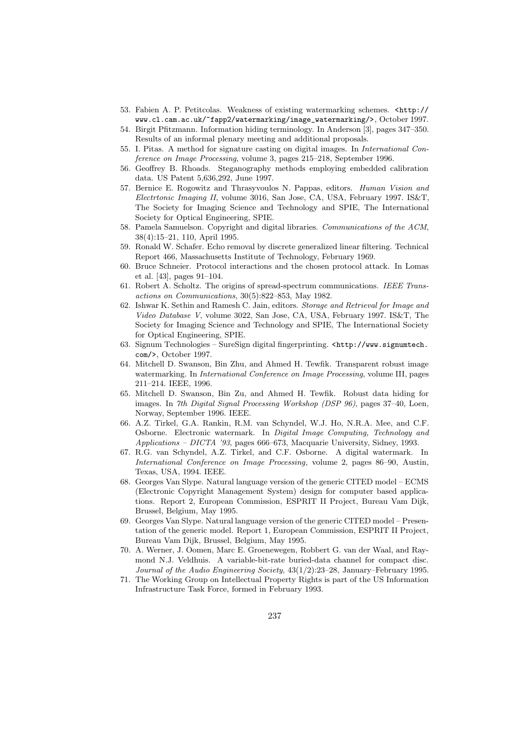- 53. Fabien A. P. Petitcolas. Weakness of existing watermarking schemes.  $\text{thtp://}$ www.cl.cam.ac.uk/~fapp2/watermarking/image\_watermarking/>, October 1997.
- 54. Birgit Pfitzmann. Information hiding terminology. In Anderson [3], pages 347–350. Results of an informal plenary meeting and additional proposals.
- 55. I. Pitas. A method for signature casting on digital images. In International Conference on Image Processing, volume 3, pages 215–218, September 1996.
- 56. Geoffrey B. Rhoads. Steganography methods employing embedded calibration data. US Patent 5,636,292, June 1997.
- 57. Bernice E. Rogowitz and Thrasyvoulos N. Pappas, editors. Human Vision and Electrtonic Imaging II, volume 3016, San Jose, CA, USA, February 1997. IS&T, The Society for Imaging Science and Technology and SPIE, The International Society for Optical Engineering, SPIE.
- 58. Pamela Samuelson. Copyright and digital libraries. Communications of the ACM, 38(4):15–21, 110, April 1995.
- 59. Ronald W. Schafer. Echo removal by discrete generalized linear filtering. Technical Report 466, Massachusetts Institute of Technology, February 1969.
- 60. Bruce Schneier. Protocol interactions and the chosen protocol attack. In Lomas et al. [43], pages 91–104.
- 61. Robert A. Scholtz. The origins of spread-spectrum communications. IEEE Transactions on Communications, 30(5):822–853, May 1982.
- 62. Ishwar K. Sethin and Ramesh C. Jain, editors. Storage and Retrieval for Image and Video Database V, volume 3022, San Jose, CA, USA, February 1997. IS&T, The Society for Imaging Science and Technology and SPIE, The International Society for Optical Engineering, SPIE.
- 63. Signum Technologies SureSign digital fingerprinting. <http://www.signumtech. com/>, October 1997.
- 64. Mitchell D. Swanson, Bin Zhu, and Ahmed H. Tewfik. Transparent robust image watermarking. In International Conference on Image Processing, volume III, pages 211–214. IEEE, 1996.
- 65. Mitchell D. Swanson, Bin Zu, and Ahmed H. Tewfik. Robust data hiding for images. In 7th Digital Signal Processing Workshop (DSP 96), pages 37–40, Loen, Norway, September 1996. IEEE.
- 66. A.Z. Tirkel, G.A. Rankin, R.M. van Schyndel, W.J. Ho, N.R.A. Mee, and C.F. Osborne. Electronic watermark. In Digital Image Computing, Technology and Applications – DICTA '93, pages 666–673, Macquarie University, Sidney, 1993.
- 67. R.G. van Schyndel, A.Z. Tirkel, and C.F. Osborne. A digital watermark. In International Conference on Image Processing, volume 2, pages 86–90, Austin, Texas, USA, 1994. IEEE.
- 68. Georges Van Slype. Natural language version of the generic CITED model ECMS (Electronic Copyright Management System) design for computer based applications. Report 2, European Commission, ESPRIT II Project, Bureau Vam Dijk, Brussel, Belgium, May 1995.
- 69. Georges Van Slype. Natural language version of the generic CITED model Presentation of the generic model. Report 1, European Commission, ESPRIT II Project, Bureau Vam Dijk, Brussel, Belgium, May 1995.
- 70. A. Werner, J. Oomen, Marc E. Groenewegen, Robbert G. van der Waal, and Raymond N.J. Veldhuis. A variable-bit-rate buried-data channel for compact disc. Journal of the Audio Engineering Society, 43(1/2):23–28, January–February 1995.
- 71. The Working Group on Intellectual Property Rights is part of the US Information Infrastructure Task Force, formed in February 1993.